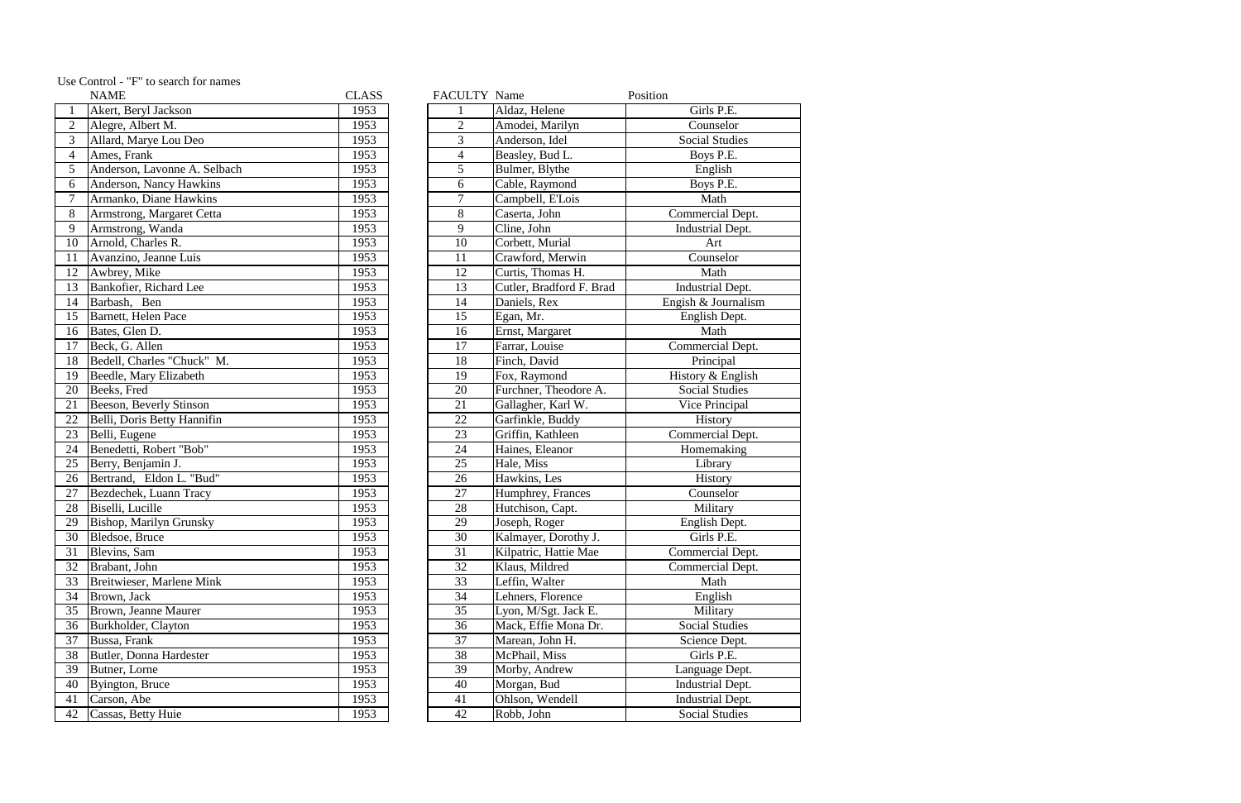|                 | <b>NAME</b>                    | <b>CLASS</b> | FACULTY Name     |                          | Position                |
|-----------------|--------------------------------|--------------|------------------|--------------------------|-------------------------|
| $\mathbf{1}$    | Akert, Beryl Jackson           | 1953         |                  | Aldaz, Helene            | Girls P.E.              |
| $\overline{2}$  | Alegre, Albert M.              | 1953         | $\overline{2}$   | Amodei, Marilyn          | Counselor               |
| $\overline{3}$  | Allard, Marye Lou Deo          | 1953         | 3                | Anderson, Idel           | <b>Social Studies</b>   |
| $\overline{a}$  | Ames, Frank                    | 1953         | $\overline{4}$   | Beasley, Bud L.          | Boys P.E.               |
| $\overline{5}$  | Anderson, Lavonne A. Selbach   | 1953         | 5                | Bulmer, Blythe           | English                 |
| 6               | Anderson, Nancy Hawkins        | 1953         | 6                | Cable, Raymond           | Boys P.E.               |
|                 | Armanko, Diane Hawkins         | 1953         | $\boldsymbol{7}$ | Campbell, E'Lois         | Math                    |
| $\overline{8}$  | Armstrong, Margaret Cetta      | 1953         | 8                | Caserta, John            | Commercial Dept.        |
| 9               | Armstrong, Wanda               | 1953         | 9                | Cline, John              | <b>Industrial Dept.</b> |
| $\overline{10}$ | Arnold, Charles R.             | 1953         | 10               | Corbett, Murial          | Art                     |
| $\overline{11}$ | Avanzino, Jeanne Luis          | 1953         | 11               | Crawford, Merwin         | Counselor               |
| 12              | Awbrey, Mike                   | 1953         | 12               | Curtis, Thomas H.        | Math                    |
| 13              | Bankofier, Richard Lee         | 1953         | 13               | Cutler, Bradford F. Brad | Industrial Dept.        |
| 14              | Barbash, Ben                   | 1953         | 14               | Daniels, Rex             | Engish & Journalism     |
| 15              | Barnett, Helen Pace            | 1953         | 15               | Egan, Mr.                | English Dept.           |
| 16              | Bates, Glen D.                 | 1953         | 16               | Ernst, Margaret          | Math                    |
| 17              | Beck, G. Allen                 | 1953         | 17               | Farrar, Louise           | Commercial Dept.        |
| 18              | Bedell, Charles "Chuck" M.     | 1953         | 18               | Finch, David             | Principal               |
| 19              | Beedle, Mary Elizabeth         | 1953         | 19               | Fox, Raymond             | History & English       |
| 20              | Beeks, Fred                    | 1953         | 20               | Furchner, Theodore A.    | <b>Social Studies</b>   |
| $\overline{21}$ | <b>Beeson, Beverly Stinson</b> | 1953         | 21               | Gallagher, Karl W.       | Vice Principal          |
| 22              | Belli, Doris Betty Hannifin    | 1953         | 22               | Garfinkle, Buddy         | History                 |
| 23              | Belli, Eugene                  | 1953         | 23               | Griffin, Kathleen        | Commercial Dept.        |
| 24              | Benedetti, Robert "Bob"        | 1953         | 24               | Haines, Eleanor          | Homemaking              |
| $\overline{25}$ | Berry, Benjamin J.             | 1953         | 25               | Hale, Miss               | Library                 |
| 26              | Bertrand, Eldon L. "Bud"       | 1953         | 26               | Hawkins, Les             | History                 |
| 27              | Bezdechek, Luann Tracy         | 1953         | 27               | Humphrey, Frances        | Counselor               |
| $\overline{28}$ | Biselli, Lucille               | 1953         | 28               | Hutchison, Capt.         | Military                |
| 29              | <b>Bishop, Marilyn Grunsky</b> | 1953         | 29               | Joseph, Roger            | English Dept.           |
| $\overline{30}$ | Bledsoe, Bruce                 | 1953         | 30               | Kalmayer, Dorothy J.     | Girls P.E.              |
| 31              | Blevins, Sam                   | 1953         | 31               | Kilpatric, Hattie Mae    | Commercial Dept.        |
| $\overline{32}$ | Brabant, John                  | 1953         | 32               | Klaus, Mildred           | Commercial Dept.        |
| 33              | Breitwieser, Marlene Mink      | 1953         | 33               | Leffin, Walter           | Math                    |
| 34              | Brown, Jack                    | 1953         | 34               | Lehners, Florence        | English                 |
| $\overline{35}$ | Brown, Jeanne Maurer           | 1953         | 35               | Lyon, M/Sgt. Jack E.     | Military                |
| $\overline{36}$ | Burkholder, Clayton            | 1953         | 36               | Mack, Effie Mona Dr.     | <b>Social Studies</b>   |
| 37              | Bussa, Frank                   | 1953         | 37               | Marean, John H.          | Science Dept.           |
| 38              | Butler, Donna Hardester        | 1953         | 38               | McPhail, Miss            | Girls P.E.              |
| 39              | Butner, Lorne                  | 1953         | 39               | Morby, Andrew            | Language Dept.          |
| 40              | Byington, Bruce                | 1953         | 40               | Morgan, Bud              | <b>Industrial Dept.</b> |
| 41              | Carson, Abe                    | 1953         | 41               | Ohlson, Wendell          | <b>Industrial Dept.</b> |
| 42              | Cassas, Betty Huie             | 1953         | 42               | Robb, John               | <b>Social Studies</b>   |
|                 |                                |              |                  |                          |                         |

Use Control - "F" to search for names

|                | <b>NAME</b>                      | <b>CLASS</b> | FACULTY Name    |                          | Position               |
|----------------|----------------------------------|--------------|-----------------|--------------------------|------------------------|
|                | Akert, Beryl Jackson             | 1953         |                 | Aldaz, Helene            | Girls P.E.             |
| $\overline{2}$ | Alegre, Albert M.                | 1953         | $\overline{2}$  | Amodei, Marilyn          | Counselor              |
| 3              | Allard, Marye Lou Deo            | 1953         | 3               | Anderson, Idel           | <b>Social Studies</b>  |
| $\overline{4}$ | Ames, Frank                      | 1953         | $\overline{4}$  | Beasley, Bud L.          | Boys P.E.              |
| 5              | Anderson, Lavonne A. Selbach     | 1953         | 5               | Bulmer, Blythe           | English                |
| 6              | Anderson, Nancy Hawkins          | 1953         | 6               | Cable, Raymond           | Boys P.E.              |
| $\overline{7}$ | Armanko, Diane Hawkins           | 1953         | $\tau$          | Campbell, E'Lois         | Math                   |
| 8              | Armstrong, Margaret Cetta        | 1953         | 8               | Caserta, John            | Commercial Dep         |
| 9              | Armstrong, Wanda                 | 1953         | 9               | Cline, John              | <b>Industrial Dept</b> |
| 10             | Arnold, Charles R.               | 1953         | 10              | Corbett, Murial          | Art                    |
| 11             | Avanzino, Jeanne Luis            | 1953         | 11              | Crawford, Merwin         | Counselor              |
| 12             | Awbrey, Mike                     | 1953         | 12              | Curtis, Thomas H.        | Math                   |
| 13             | Bankofier, Richard Lee           | 1953         | 13              | Cutler, Bradford F. Brad | <b>Industrial Dept</b> |
| 14             | Barbash, Ben                     | 1953         | 14              | Daniels, Rex             | Engish & Journal       |
| 15             | Barnett, Helen Pace              | 1953         | 15              | Egan, Mr.                | English Dept.          |
| 16             | Bates, Glen D.                   | 1953         | 16              | Ernst, Margaret          | Math                   |
| 17             | Beck, G. Allen                   | 1953         | 17              | Farrar, Louise           | Commercial Dep         |
| 18             | Bedell, Charles "Chuck" M.       | 1953         | 18              | Finch, David             | Principal              |
| 19             | Beedle, Mary Elizabeth           | 1953         | 19              | Fox, Raymond             | History & Englis       |
| 20             | Beeks, Fred                      | 1953         | 20              | Furchner, Theodore A.    | <b>Social Studies</b>  |
| 21             | <b>Beeson, Beverly Stinson</b>   | 1953         | $\overline{21}$ | Gallagher, Karl W.       | Vice Principal         |
| 22             | Belli, Doris Betty Hannifin      | 1953         | 22              | Garfinkle, Buddy         | History                |
| 23             | Belli, Eugene                    | 1953         | 23              | Griffin, Kathleen        | Commercial Dep         |
| 24             | Benedetti, Robert "Bob"          | 1953         | 24              | Haines, Eleanor          | Homemaking             |
| 25             | Berry, Benjamin J.               | 1953         | 25              | Hale, Miss               | Library                |
| 26             | Bertrand, Eldon L. "Bud"         | 1953         | 26              | Hawkins, Les             | History                |
| 27             | Bezdechek, Luann Tracy           | 1953         | 27              | Humphrey, Frances        | Counselor              |
| 28             | Biselli, Lucille                 | 1953         | 28              | Hutchison, Capt.         | Military               |
| 29             | <b>Bishop, Marilyn Grunsky</b>   | 1953         | 29              | Joseph, Roger            | English Dept.          |
| 30             | Bledsoe, Bruce                   | 1953         | $\overline{30}$ | Kalmayer, Dorothy J.     | Girls P.E.             |
| 31             | Blevins, Sam                     | 1953         | 31              | Kilpatric, Hattie Mae    | Commercial Dep         |
| 32             | Brabant, John                    | 1953         | 32              | Klaus, Mildred           | Commercial Dep         |
| 33             | <b>Breitwieser, Marlene Mink</b> | 1953         | 33              | Leffin, Walter           | Math                   |
| 34             | Brown, Jack                      | 1953         | 34              | Lehners, Florence        | English                |
| 35             | <b>Brown, Jeanne Maurer</b>      | 1953         | 35              | Lyon, M/Sgt. Jack E.     | Military               |
| 36             | Burkholder, Clayton              | 1953         | 36              | Mack, Effie Mona Dr.     | <b>Social Studies</b>  |
| 37             | Bussa, Frank                     | 1953         | 37              | Marean, John H.          | Science Dept.          |
| 38             | Butler, Donna Hardester          | 1953         | 38              | McPhail, Miss            | Girls P.E.             |
| 39             | Butner, Lorne                    | 1953         | 39              | Morby, Andrew            | Language Dept          |
| 40             | Byington, Bruce                  | 1953         | 40              | Morgan, Bud              | <b>Industrial Dept</b> |
| 41             | Carson, Abe                      | 1953         | 41              | Ohlson, Wendell          | <b>Industrial Dept</b> |
| 42             | Cassas, Betty Huie               | 1953         | 42              | Robb, John               | <b>Social Studies</b>  |
|                |                                  |              |                 |                          |                        |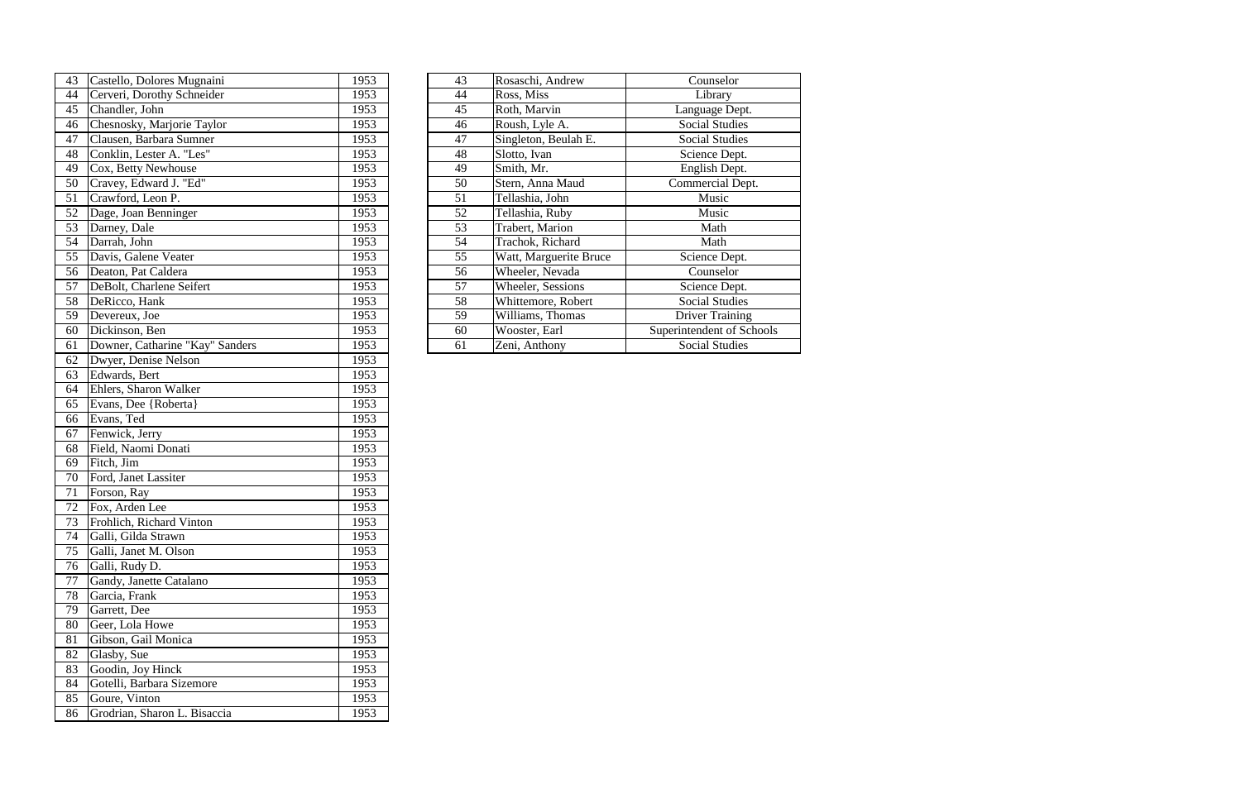| 43 | Castello, Dolores Mugnaini      | 1953 | 43              | Rosaschi, Andrew       | Counselor              |
|----|---------------------------------|------|-----------------|------------------------|------------------------|
| 44 | Cerveri, Dorothy Schneider      | 1953 | 44              | Ross, Miss             | Library                |
| 45 | Chandler, John                  | 1953 | 45              | Roth, Marvin           | Language Dept.         |
| 46 | Chesnosky, Marjorie Taylor      | 1953 | 46              | Roush, Lyle A.         | <b>Social Studies</b>  |
| 47 | Clausen, Barbara Sumner         | 1953 | $\overline{47}$ | Singleton, Beulah E.   | <b>Social Studies</b>  |
| 48 | Conklin, Lester A. "Les"        | 1953 | 48              | Slotto, Ivan           | Science Dept.          |
| 49 | Cox, Betty Newhouse             | 1953 | 49              | Smith, Mr.             | English Dept.          |
| 50 | Cravey, Edward J. "Ed"          | 1953 | $\overline{50}$ | Stern, Anna Maud       | Commercial Dept.       |
| 51 | Crawford, Leon P.               | 1953 | 51              | Tellashia, John        | Music                  |
| 52 | Dage, Joan Benninger            | 1953 | 52              | Tellashia, Ruby        | Music                  |
| 53 | Darney, Dale                    | 1953 | $\overline{53}$ | Trabert, Marion        | Math                   |
| 54 | Darrah, John                    | 1953 | 54              | Trachok, Richard       | Math                   |
| 55 | Davis, Galene Veater            | 1953 | 55              | Watt, Marguerite Bruce | Science Dept.          |
| 56 | Deaton, Pat Caldera             | 1953 | 56              | Wheeler, Nevada        | Counselor              |
| 57 | DeBolt, Charlene Seifert        | 1953 | 57              | Wheeler, Sessions      | Science Dept.          |
| 58 | DeRicco, Hank                   | 1953 | 58              | Whittemore, Robert     | <b>Social Studies</b>  |
| 59 | Devereux, Joe                   | 1953 | 59              | Williams, Thomas       | <b>Driver Training</b> |
| 60 | Dickinson, Ben                  | 1953 | 60              | Wooster, Earl          | Superintendent of Sch  |
| 61 | Downer, Catharine "Kay" Sanders | 1953 | 61              | Zeni, Anthony          | <b>Social Studies</b>  |
| 62 | Dwyer, Denise Nelson            | 1953 |                 |                        |                        |
| 63 | Edwards, Bert                   | 1953 |                 |                        |                        |
| 64 | Ehlers, Sharon Walker           | 1953 |                 |                        |                        |
| 65 | Evans, Dee {Roberta}            | 1953 |                 |                        |                        |
| 66 | Evans, Ted                      | 1953 |                 |                        |                        |
| 67 | Fenwick, Jerry                  | 1953 |                 |                        |                        |
| 68 | Field, Naomi Donati             | 1953 |                 |                        |                        |
| 69 | Fitch, Jim                      | 1953 |                 |                        |                        |
| 70 | Ford, Janet Lassiter            | 1953 |                 |                        |                        |
| 71 | Forson, Ray                     | 1953 |                 |                        |                        |
| 72 | Fox, Arden Lee                  | 1953 |                 |                        |                        |
| 73 | Frohlich, Richard Vinton        | 1953 |                 |                        |                        |
| 74 | Galli, Gilda Strawn             | 1953 |                 |                        |                        |
| 75 | Galli, Janet M. Olson           | 1953 |                 |                        |                        |
| 76 | Galli, Rudy D.                  | 1953 |                 |                        |                        |
| 77 | Gandy, Janette Catalano         | 1953 |                 |                        |                        |
| 78 | Garcia, Frank                   | 1953 |                 |                        |                        |
| 79 | Garrett, Dee                    | 1953 |                 |                        |                        |
| 80 | Geer, Lola Howe                 | 1953 |                 |                        |                        |
| 81 | Gibson, Gail Monica             | 1953 |                 |                        |                        |
| 82 | Glasby, Sue                     | 1953 |                 |                        |                        |
| 83 | Goodin, Joy Hinck               | 1953 |                 |                        |                        |
| 84 | Gotelli, Barbara Sizemore       | 1953 |                 |                        |                        |
| 85 | Goure, Vinton                   | 1953 |                 |                        |                        |
| 86 | Grodrian, Sharon L. Bisaccia    | 1953 |                 |                        |                        |

| 43 | Castello, Dolores Mugnaini      | 1953 | 43 | Rosaschi, Andrew       | Counselor                 |
|----|---------------------------------|------|----|------------------------|---------------------------|
| 44 | Cerveri, Dorothy Schneider      | 1953 | 44 | Ross, Miss             | Library                   |
| 45 | Chandler, John                  | 1953 | 45 | Roth, Marvin           | Language Dept.            |
| 46 | Chesnosky, Marjorie Taylor      | 1953 | 46 | Roush, Lyle A.         | <b>Social Studies</b>     |
| 47 | Clausen, Barbara Sumner         | 1953 | 47 | Singleton, Beulah E.   | <b>Social Studies</b>     |
| 48 | Conklin, Lester A. "Les"        | 1953 | 48 | Slotto, Ivan           | Science Dept.             |
| 49 | Cox, Betty Newhouse             | 1953 | 49 | Smith, Mr.             | English Dept.             |
| 50 | Cravey, Edward J. "Ed"          | 1953 | 50 | Stern, Anna Maud       | Commercial Dept.          |
| 51 | Crawford, Leon P.               | 1953 | 51 | Tellashia, John        | Music                     |
|    | 52 Dage, Joan Benninger         | 1953 | 52 | Tellashia, Ruby        | Music                     |
| 53 | Darney, Dale                    | 1953 | 53 | Trabert, Marion        | Math                      |
| 54 | Darrah, John                    | 1953 | 54 | Trachok, Richard       | Math                      |
| 55 | Davis, Galene Veater            | 1953 | 55 | Watt, Marguerite Bruce | Science Dept.             |
| 56 | Deaton, Pat Caldera             | 1953 | 56 | Wheeler, Nevada        | Counselor                 |
| 57 | DeBolt, Charlene Seifert        | 1953 | 57 | Wheeler, Sessions      | Science Dept.             |
| 58 | DeRicco, Hank                   | 1953 | 58 | Whittemore, Robert     | <b>Social Studies</b>     |
| 59 | Devereux, Joe                   | 1953 | 59 | Williams, Thomas       | <b>Driver Training</b>    |
| 60 | Dickinson, Ben                  | 1953 | 60 | Wooster, Earl          | Superintendent of Schools |
| 61 | Downer, Catharine "Kay" Sanders | 1953 | 61 | Zeni, Anthony          | <b>Social Studies</b>     |
|    |                                 |      |    |                        |                           |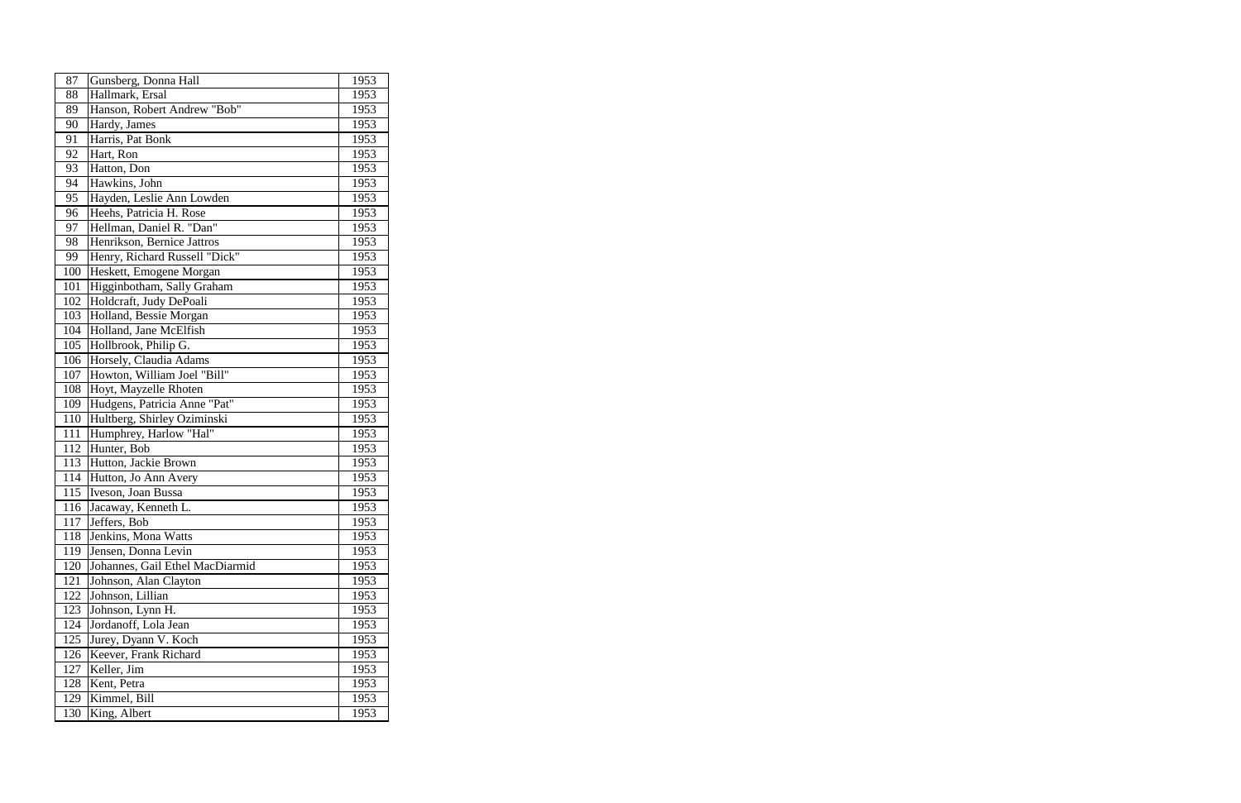| 87  | Gunsberg, Donna Hall            | 1953 |
|-----|---------------------------------|------|
| 88  | Hallmark, Ersal                 | 1953 |
| 89  | Hanson, Robert Andrew "Bob"     | 1953 |
| 90  | Hardy, James                    | 1953 |
| 91  | Harris, Pat Bonk                | 1953 |
| 92  | Hart, Ron                       | 1953 |
| 93  | Hatton, Don                     | 1953 |
| 94  | Hawkins, John                   | 1953 |
| 95  | Hayden, Leslie Ann Lowden       | 1953 |
| 96  | Heehs, Patricia H. Rose         | 1953 |
| 97  | Hellman, Daniel R. "Dan"        | 1953 |
| 98  | Henrikson, Bernice Jattros      | 1953 |
| 99  | Henry, Richard Russell "Dick"   | 1953 |
| 100 | Heskett, Emogene Morgan         | 1953 |
| 101 | Higginbotham, Sally Graham      | 1953 |
| 102 | Holdcraft, Judy DePoali         | 1953 |
| 103 | Holland, Bessie Morgan          | 1953 |
| 104 | Holland, Jane McElfish          | 1953 |
| 105 | Hollbrook, Philip G.            | 1953 |
| 106 | Horsely, Claudia Adams          | 1953 |
| 107 | Howton, William Joel "Bill"     | 1953 |
| 108 | Hoyt, Mayzelle Rhoten           | 1953 |
| 109 | Hudgens, Patricia Anne "Pat"    | 1953 |
| 110 | Hultberg, Shirley Oziminski     | 1953 |
| 111 | Humphrey, Harlow "Hal"          | 1953 |
| 112 | Hunter, Bob                     | 1953 |
| 113 | Hutton, Jackie Brown            | 1953 |
| 114 | Hutton, Jo Ann Avery            | 1953 |
| 115 | Iveson, Joan Bussa              | 1953 |
| 116 | Jacaway, Kenneth L.             | 1953 |
| 117 | Jeffers, Bob                    | 1953 |
| 118 | Jenkins, Mona Watts             | 1953 |
| 119 | Jensen, Donna Levin             | 1953 |
| 120 | Johannes, Gail Ethel MacDiarmid | 1953 |
| 121 | Johnson, Alan Clayton           | 1953 |
| 122 | Johnson, Lillian                | 1953 |
| 123 | Johnson, Lynn H.                | 1953 |
| 124 | Jordanoff, Lola Jean            | 1953 |
| 125 | Jurey, Dyann V. Koch            | 1953 |
| 126 | Keever, Frank Richard           | 1953 |
| 127 | Keller, Jim                     | 1953 |
| 128 | Kent, Petra                     | 1953 |
| 129 | Kimmel, Bill                    | 1953 |
| 130 | King, Albert                    | 1953 |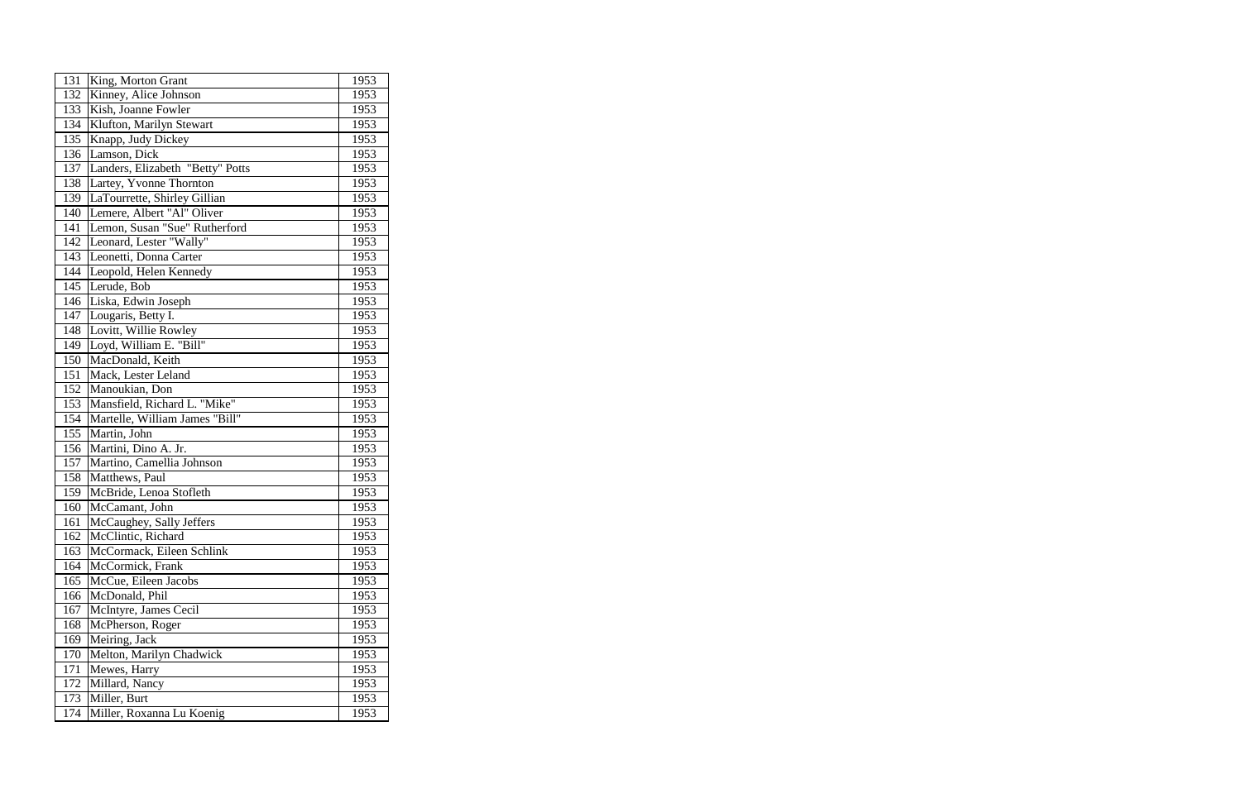| 131 | King, Morton Grant               | 1953 |
|-----|----------------------------------|------|
| 132 | Kinney, Alice Johnson            | 1953 |
| 133 | Kish, Joanne Fowler              | 1953 |
| 134 | Klufton, Marilyn Stewart         | 1953 |
| 135 | Knapp, Judy Dickey               | 1953 |
| 136 | Lamson, Dick                     | 1953 |
| 137 | Landers, Elizabeth "Betty" Potts | 1953 |
| 138 | Lartey, Yvonne Thornton          | 1953 |
| 139 | LaTourrette, Shirley Gillian     | 1953 |
| 140 | Lemere, Albert "Al" Oliver       | 1953 |
| 141 | Lemon, Susan "Sue" Rutherford    | 1953 |
| 142 | Leonard, Lester "Wally"          | 1953 |
| 143 | Leonetti, Donna Carter           | 1953 |
| 144 | Leopold, Helen Kennedy           | 1953 |
| 145 | Lerude, Bob                      | 1953 |
| 146 | Liska, Edwin Joseph              | 1953 |
| 147 | Lougaris, Betty I.               | 1953 |
| 148 | Lovitt, Willie Rowley            | 1953 |
| 149 | Loyd, William E. "Bill"          | 1953 |
| 150 | MacDonald, Keith                 | 1953 |
| 151 | Mack, Lester Leland              | 1953 |
| 152 | Manoukian, Don                   | 1953 |
| 153 | Mansfield, Richard L. "Mike"     | 1953 |
| 154 | Martelle, William James "Bill"   | 1953 |
| 155 | Martin, John                     | 1953 |
| 156 | Martini, Dino A. Jr.             | 1953 |
| 157 | Martino, Camellia Johnson        | 1953 |
| 158 | Matthews, Paul                   | 1953 |
| 159 | McBride, Lenoa Stofleth          | 1953 |
| 160 | McCamant, John                   | 1953 |
| 161 | McCaughey, Sally Jeffers         | 1953 |
| 162 | McClintic, Richard               | 1953 |
| 163 | McCormack, Eileen Schlink        | 1953 |
| 164 | McCormick, Frank                 | 1953 |
| 165 | McCue, Eileen Jacobs             | 1953 |
| 166 | McDonald, Phil                   | 1953 |
| 167 | McIntyre, James Cecil            | 1953 |
| 168 | McPherson, Roger                 | 1953 |
| 169 | Meiring, Jack                    | 1953 |
| 170 | Melton, Marilyn Chadwick         | 1953 |
| 171 | Mewes, Harry                     | 1953 |
| 172 | Millard, Nancy                   | 1953 |
| 173 | Miller, Burt                     | 1953 |
| 174 | Miller, Roxanna Lu Koenig        | 1953 |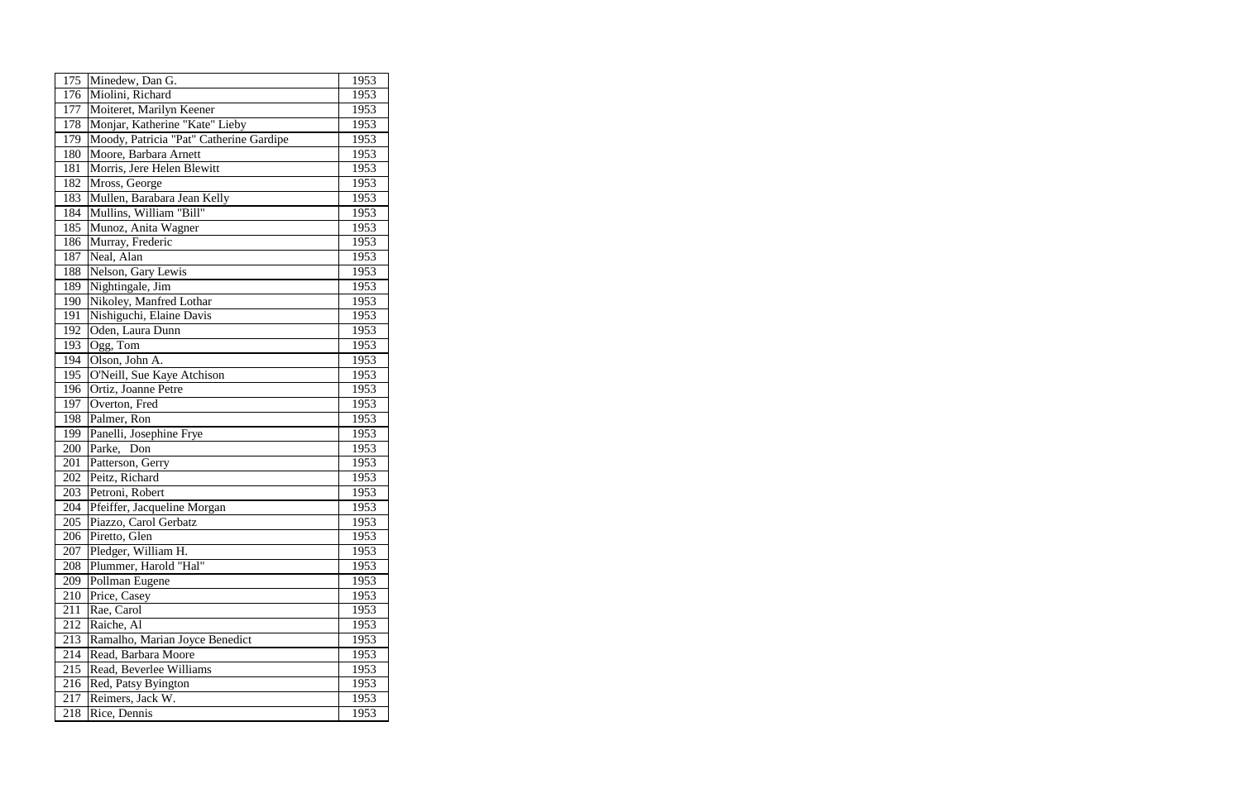| 175 | Minedew, Dan G.                         | 1953 |
|-----|-----------------------------------------|------|
| 176 | Miolini, Richard                        | 1953 |
| 177 | Moiteret, Marilyn Keener                | 1953 |
| 178 | Monjar, Katherine "Kate" Lieby          | 1953 |
| 179 | Moody, Patricia "Pat" Catherine Gardipe | 1953 |
| 180 | Moore, Barbara Arnett                   | 1953 |
| 181 | Morris, Jere Helen Blewitt              | 1953 |
| 182 | Mross, George                           | 1953 |
| 183 | Mullen, Barabara Jean Kelly             | 1953 |
| 184 | Mullins, William "Bill"                 | 1953 |
| 185 | Munoz, Anita Wagner                     | 1953 |
| 186 | Murray, Frederic                        | 1953 |
| 187 | Neal, Alan                              | 1953 |
| 188 | Nelson, Gary Lewis                      | 1953 |
| 189 | Nightingale, Jim                        | 1953 |
| 190 | Nikoley, Manfred Lothar                 | 1953 |
| 191 | Nishiguchi, Elaine Davis                | 1953 |
| 192 | Oden, Laura Dunn                        | 1953 |
| 193 | Ogg, Tom                                | 1953 |
| 194 | Olson, John A.                          | 1953 |
| 195 | O'Neill, Sue Kaye Atchison              | 1953 |
| 196 | Ortiz, Joanne Petre                     | 1953 |
| 197 | Overton, Fred                           | 1953 |
| 198 | Palmer, Ron                             | 1953 |
| 199 | Panelli, Josephine Frye                 | 1953 |
| 200 | Parke,<br>Don                           | 1953 |
| 201 | Patterson, Gerry                        | 1953 |
| 202 | Peitz, Richard                          | 1953 |
| 203 | Petroni, Robert                         | 1953 |
| 204 | Pfeiffer, Jacqueline Morgan             | 1953 |
| 205 | Piazzo, Carol Gerbatz                   | 1953 |
| 206 | Piretto, Glen                           | 1953 |
| 207 | Pledger, William H.                     | 1953 |
| 208 | Plummer, Harold "Hal"                   | 1953 |
| 209 | Pollman Eugene                          | 1953 |
| 210 | Price, Casey                            | 1953 |
| 211 | Rae, Carol                              | 1953 |
| 212 | Raiche, Al                              | 1953 |
| 213 | Ramalho, Marian Joyce Benedict          | 1953 |
| 214 | Read, Barbara Moore                     | 1953 |
| 215 | Read, Beverlee Williams                 | 1953 |
| 216 | Red, Patsy Byington                     | 1953 |
| 217 | Reimers, Jack W.                        | 1953 |
| 218 | Rice, Dennis                            | 1953 |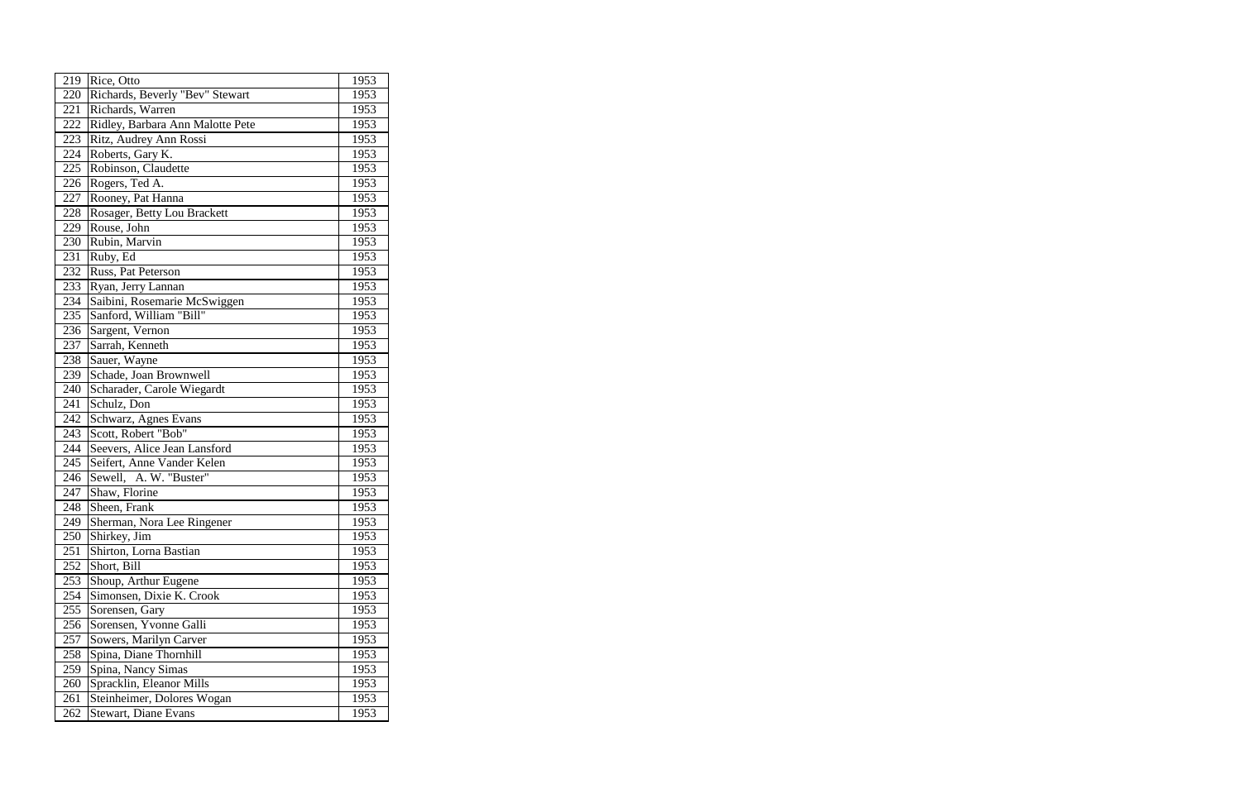| 219 | Rice, Otto                       | 1953 |
|-----|----------------------------------|------|
| 220 | Richards, Beverly "Bev" Stewart  | 1953 |
| 221 | Richards, Warren                 | 1953 |
| 222 | Ridley, Barbara Ann Malotte Pete | 1953 |
| 223 | Ritz, Audrey Ann Rossi           | 1953 |
| 224 | Roberts, Gary K.                 | 1953 |
| 225 | Robinson, Claudette              | 1953 |
| 226 | Rogers, Ted A.                   | 1953 |
| 227 | Rooney, Pat Hanna                | 1953 |
| 228 | Rosager, Betty Lou Brackett      | 1953 |
| 229 | Rouse, John                      | 1953 |
| 230 | Rubin, Marvin                    | 1953 |
| 231 | Ruby, Ed                         | 1953 |
| 232 | Russ, Pat Peterson               | 1953 |
| 233 | Ryan, Jerry Lannan               | 1953 |
| 234 | Saibini, Rosemarie McSwiggen     | 1953 |
| 235 | Sanford, William "Bill"          | 1953 |
| 236 | Sargent, Vernon                  | 1953 |
| 237 | Sarrah, Kenneth                  | 1953 |
| 238 | Sauer, Wayne                     | 1953 |
| 239 | Schade, Joan Brownwell           | 1953 |
| 240 | Scharader, Carole Wiegardt       | 1953 |
| 241 | Schulz, Don                      | 1953 |
| 242 | Schwarz, Agnes Evans             | 1953 |
| 243 | Scott, Robert "Bob"              | 1953 |
| 244 | Seevers, Alice Jean Lansford     | 1953 |
| 245 | Seifert, Anne Vander Kelen       | 1953 |
| 246 | Sewell, A. W. "Buster"           | 1953 |
| 247 | Shaw, Florine                    | 1953 |
| 248 | Sheen, Frank                     | 1953 |
| 249 | Sherman, Nora Lee Ringener       | 1953 |
| 250 | Shirkey, Jim                     | 1953 |
| 251 | Shirton, Lorna Bastian           | 1953 |
| 252 | Short, Bill                      | 1953 |
| 253 | Shoup, Arthur Eugene             | 1953 |
| 254 | Simonsen, Dixie K. Crook         | 1953 |
| 255 | Sorensen, Gary                   | 1953 |
| 256 | Sorensen, Yvonne Galli           | 1953 |
| 257 | Sowers, Marilyn Carver           | 1953 |
| 258 | Spina, Diane Thornhill           | 1953 |
| 259 | Spina, Nancy Simas               | 1953 |
| 260 | Spracklin, Eleanor Mills         | 1953 |
| 261 | Steinheimer, Dolores Wogan       | 1953 |
| 262 | <b>Stewart</b> , Diane Evans     | 1953 |